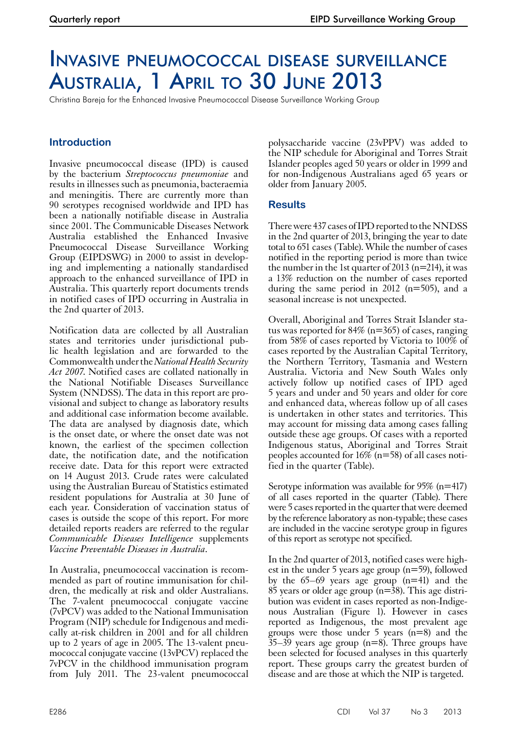# Invasive pneumococcal disease surveillance Australia, 1 April to 30 June 2013

Christina Bareja for the Enhanced Invasive Pneumococcal Disease Surveillance Working Group

# **Introduction**

Invasive pneumococcal disease (IPD) is caused by the bacterium *Streptococcus pneumoniae* and results in illnesses such as pneumonia, bacteraemia and meningitis. There are currently more than 90 serotypes recognised worldwide and IPD has been a nationally notifiable disease in Australia since 2001. The Communicable Diseases Network Australia established the Enhanced Invasive Pneumococcal Disease Surveillance Working Group (EIPDSWG) in 2000 to assist in developing and implementing a nationally standardised approach to the enhanced surveillance of IPD in Australia. This quarterly report documents trends in notified cases of IPD occurring in Australia in the 2nd quarter of 2013.

Notification data are collected by all Australian states and territories under jurisdictional public health legislation and are forwarded to the Commonwealth under the *National Health Security Act 2007*. Notified cases are collated nationally in the National Notifiable Diseases Surveillance System (NNDSS). The data in this report are provisional and subject to change as laboratory results and additional case information become available. The data are analysed by diagnosis date, which is the onset date, or where the onset date was not known, the earliest of the specimen collection date, the notification date, and the notification receive date. Data for this report were extracted on 14 August 2013. Crude rates were calculated using the Australian Bureau of Statistics estimated resident populations for Australia at 30 June of each year. Consideration of vaccination status of cases is outside the scope of this report. For more detailed reports readers are referred to the regular *Communicable Diseases Intelligence* supplements *Vaccine Preventable Diseases in Australia*.

In Australia, pneumococcal vaccination is recommended as part of routine immunisation for chil- dren, the medically at risk and older Australians. The 7-valent pneumococcal conjugate vaccine (7vPCV) was added to the National Immunisation Program (NIP) schedule for Indigenous and medically at-risk children in 2001 and for all children up to 2 years of age in 2005. The 13-valent pneumococcal conjugate vaccine (13vPCV) replaced the 7vPCV in the childhood immunisation program from July 2011. The 23-valent pneumococcal

polysaccharide vaccine (23vPPV) was added to the NIP schedule for Aboriginal and Torres Strait Islander peoples aged 50 years or older in 1999 and for non-Indigenous Australians aged 65 years or older from January 2005.

# **Results**

There were 437 cases of IPD reported to the NNDSS in the 2nd quarter of 2013, bringing the year to date total to 651 cases (Table). While the number of cases notified in the reporting period is more than twice the number in the 1st quarter of 2013 ( $n=214$ ), it was a 13% reduction on the number of cases reported during the same period in 2012 (n=505), and a seasonal increase is not unexpected.

Overall, Aboriginal and Torres Strait Islander status was reported for  $84\%$  (n= $365$ ) of cases, ranging from 58% of cases reported by Victoria to 100% of cases reported by the Australian Capital Territory, the Northern Territory, Tasmania and Western Australia. Victoria and New South Wales only actively follow up notified cases of IPD aged 5 years and under and 50 years and older for core and enhanced data, whereas follow up of all cases is undertaken in other states and territories. This may account for missing data among cases falling outside these age groups. Of cases with a reported Indigenous status, Aboriginal and Torres Strait peoples accounted for 16% (n=58) of all cases noti- fied in the quarter (Table).

Serotype information was available for 95% (n=417) of all cases reported in the quarter (Table). There were 5 cases reported in the quarter that were deemed by the reference laboratory as non-typable; these cases are included in the vaccine serotype group in figures of this report as serotype not specified.

In the 2nd quarter of 2013, notified cases were highest in the under 5 years age group  $(n=59)$ , followed by the 65–69 years age group (n=41) and the <sup>85</sup> years or older age group (n=38). This age distri- bution was evident in cases reported as non-Indige- nous Australian (Figure 1). However in cases reported as Indigenous, the most prevalent age groups were those under 5 years  $(n=8)$  and the  $35-39$  years age group (n=8). Three groups have been selected for focused analyses in this quarterly report. These groups carry the greatest burden of disease and are those at which the NIP is targeted.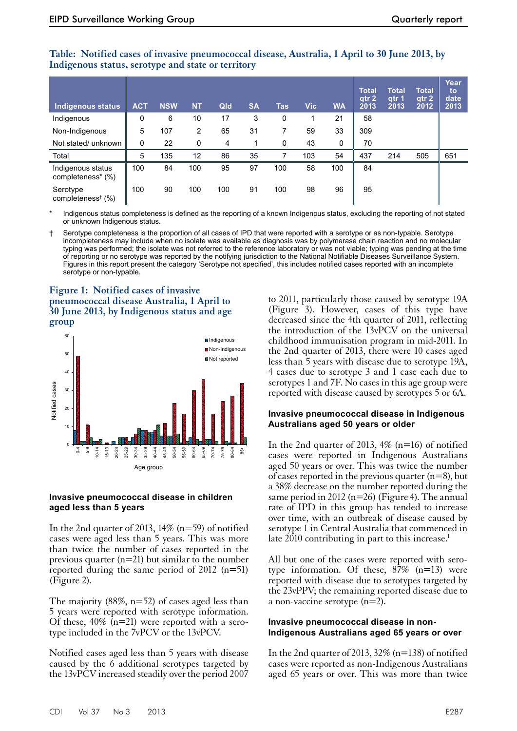## **Table: Notified cases of invasive pneumococcal disease, Australia, 1 April to 30 June 2013, by Indigenous status, serotype and state or territory**

| Indigenous status                         | <b>ACT</b> | <b>NSW</b> | <b>NT</b> | Qld | <b>SA</b> | <b>Tas</b> | <b>Vic</b> | <b>WA</b> | <b>Total</b><br>atr <sub>2</sub><br>2013 | Total<br>atr <sub>1</sub><br>2013 | <b>Total</b><br>qtr <sub>2</sub><br>2012 | Year<br>to<br>date<br>2013 |
|-------------------------------------------|------------|------------|-----------|-----|-----------|------------|------------|-----------|------------------------------------------|-----------------------------------|------------------------------------------|----------------------------|
| Indigenous                                | 0          | 6          | 10        | 17  | 3         | 0          |            | 21        | 58                                       |                                   |                                          |                            |
| Non-Indigenous                            | 5          | 107        | 2         | 65  | 31        | 7          | 59         | 33        | 309                                      |                                   |                                          |                            |
| Not stated/ unknown                       | 0          | 22         | 0         | 4   |           | 0          | 43         | 0         | 70                                       |                                   |                                          |                            |
| Total                                     | 5          | 135        | 12        | 86  | 35        |            | 103        | 54        | 437                                      | 214                               | 505                                      | 651                        |
| Indigenous status<br>completeness* (%)    | 100        | 84         | 100       | 95  | 97        | 100        | 58         | 100       | 84                                       |                                   |                                          |                            |
| Serotype<br>completeness <sup>†</sup> (%) | 100        | 90         | 100       | 100 | 91        | 100        | 98         | 96        | 95                                       |                                   |                                          |                            |

Indigenous status completeness is defined as the reporting of a known Indigenous status, excluding the reporting of not stated or unknown Indigenous status.

† Serotype completeness is the proportion of all cases of IPD that were reported with a serotype or as non-typable. Serotype incompleteness may include when no isolate was available as diagnosis was by polymerase chain reaction and no molecular typing was performed; the isolate was not referred to the reference laboratory or was not viable; typing was pending at the time of reporting or no serotype was reported by the notifying jurisdiction to the National Notifiable Diseases Surveillance System. Figures in this report present the category 'Serotype not specified', this includes notified cases reported with an incomplete serotype or non-typable.

## **Figure 1: Notified cases of invasive pneumococcal disease Australia, 1 April to 30 June 2013, by Indigenous status and age group**



## **Invasive pneumococcal disease in children aged less than 5 years**

In the 2nd quarter of 2013,  $14\%$  (n=59) of notified cases were aged less than 5 years. This was more than twice the number of cases reported in the previous quarter (n=21) but similar to the number reported during the same period of 2012 (n=51) (Figure 2).

The majority  $(88\%, n=52)$  of cases aged less than 5 years were reported with serotype information. Of these,  $40\%$  (n=21) were reported with a serotype included in the 7vPCV or the 13vPCV.

Notified cases aged less than 5 years with disease caused by the 6 additional serotypes targeted by the 13vPCV increased steadily over the period 2007

to 2011, particularly those caused by serotype 19A (Figure 3). However, cases of this type have decreased since the 4th quarter of 2011, reflecting the introduction of the 13vPCV on the universal childhood immunisation program in mid-2011. In the 2nd quarter of 2013, there were 10 cases aged less than 5 years with disease due to serotype 19A, 4 cases due to serotype 3 and 1 case each due to serotypes 1 and 7F. No cases in this age group were reported with disease caused by serotypes 5 or 6A.

## **Invasive pneumococcal disease in Indigenous Australians aged 50 years or older**

In the 2nd quarter of 2013,  $4\%$  (n=16) of notified cases were reported in Indigenous Australians aged 50 years or over. This was twice the number of cases reported in the previous quarter  $(n=8)$ , but a 38% decrease on the number reported during the same period in 2012 ( $n=26$ ) (Figure 4). The annual rate of IPD in this group has tended to increase over time, with an outbreak of disease caused by serotype 1 in Central Australia that commenced in late  $2010$  contributing in part to this increase.<sup>1</sup>

All but one of the cases were reported with serotype information. Of these,  $87\%$  (n=13) were reported with disease due to serotypes targeted by the 23vPPV; the remaining reported disease due to a non-vaccine serotype (n=2).

## **Invasive pneumococcal disease in non-Indigenous Australians aged 65 years or over**

In the 2nd quarter of 2013,  $32\%$  (n=138) of notified cases were reported as non-Indigenous Australians aged 65 years or over. This was more than twice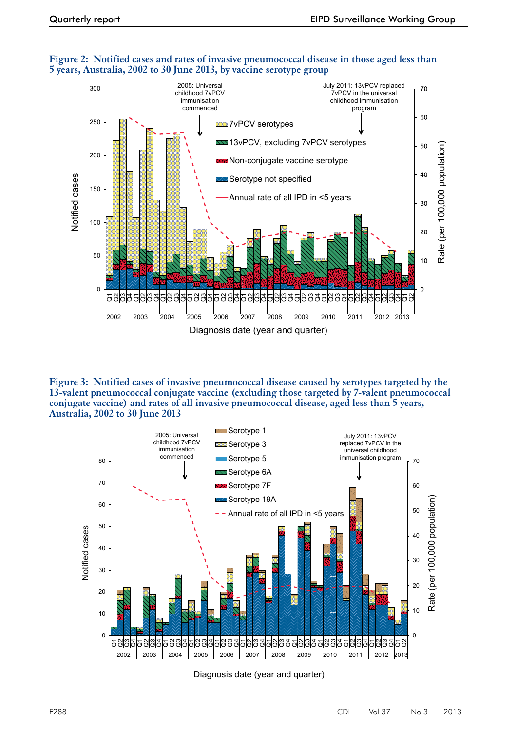

#### **Figure 2: Notified cases and rates of invasive pneumococcal disease in those aged less than 5 years, Australia, 2002 to 30 June 2013, by vaccine serotype group**

**Figure 3: Notified cases of invasive pneumococcal disease caused by serotypes targeted by the 13-valent pneumococcal conjugate vaccine (excluding those targeted by 7-valent pneumococcal conjugate vaccine) and rates of all invasive pneumococcal disease, aged less than 5 years, Australia, 2002 to 30 June 2013**



Diagnosis date (year and quarter)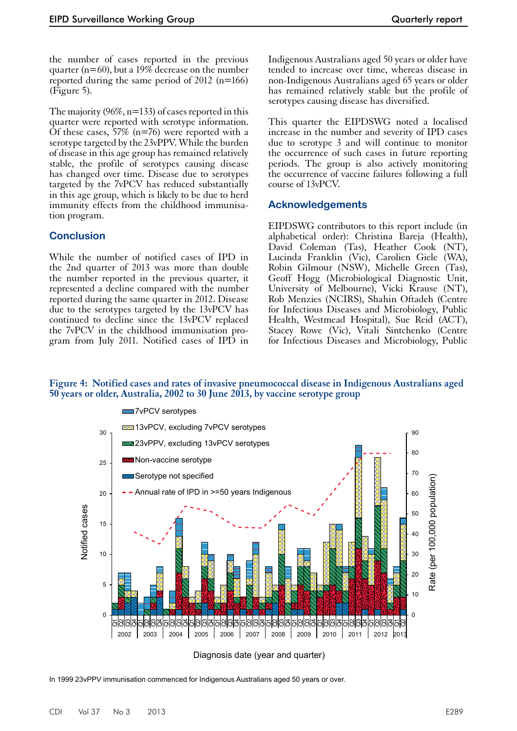the number of cases reported in the previous quarter (n=60), but a 19% decrease on the number reported during the same period of 2012 (n=166) (Figure 5).

The majority  $(96\%, n=133)$  of cases reported in this quarter were reported with serotype information. Of these cases, 57% ( $n=76$ ) were reported with a serotype targeted by the 23vPPV. While the burden of disease in this age group has remained relatively stable, the profile of serotypes causing disease has changed over time. Disease due to serotypes targeted by the 7vPCV has reduced substantially in this age group, which is likely to be due to herd immunity effects from the childhood immunisation program.

# **Conclusion**

While the number of notified cases of IPD in the 2nd quarter of 2013 was more than double the number reported in the previous quarter, it represented a decline compared with the number reported during the same quarter in 2012. Disease due to the serotypes targeted by the 13vPCV has continued to decline since the 13vPCV replaced the 7vPCV in the childhood immunisation program from July 2011. Notified cases of IPD in Indigenous Australians aged 50 years or older have tended to increase over time, whereas disease in non-Indigenous Australians aged 65 years or older has remained relatively stable but the profile of serotypes causing disease has diversified.

This quarter the EIPDSWG noted a localised increase in the number and severity of IPD cases due to serotype 3 and will continue to monitor the occurrence of such cases in future reporting periods. The group is also actively monitoring the occurrence of vaccine failures following a full course of 13vPCV.

# **Acknowledgements**

EIPDSWG contributors to this report include (in alphabetical order): Christina Bareja (Health), David Coleman (Tas), Heather Cook (NT), Lucinda Franklin (Vic), Carolien Giele (WA), Robin Gilmour (NSW), Michelle Green (Tas), Geoff Hogg (Microbiological Diagnostic Unit, University of Melbourne), Vicki Krause (NT), Rob Menzies (NCIRS), Shahin Oftadeh (Centre for Infectious Diseases and Microbiology, Public Health, Westmead Hospital), Sue Reid (ACT), Stacey Rowe (Vic), Vitali Sintchenko (Centre for Infectious Diseases and Microbiology, Public

## **Figure 4: Notified cases and rates of invasive pneumococcal disease in Indigenous Australians aged 50 years or older, Australia, 2002 to 30 June 2013, by vaccine serotype group**



Diagnosis date (year and quarter)

In 1999 23vPPV immunisation commenced for Indigenous Australians aged 50 years or over.